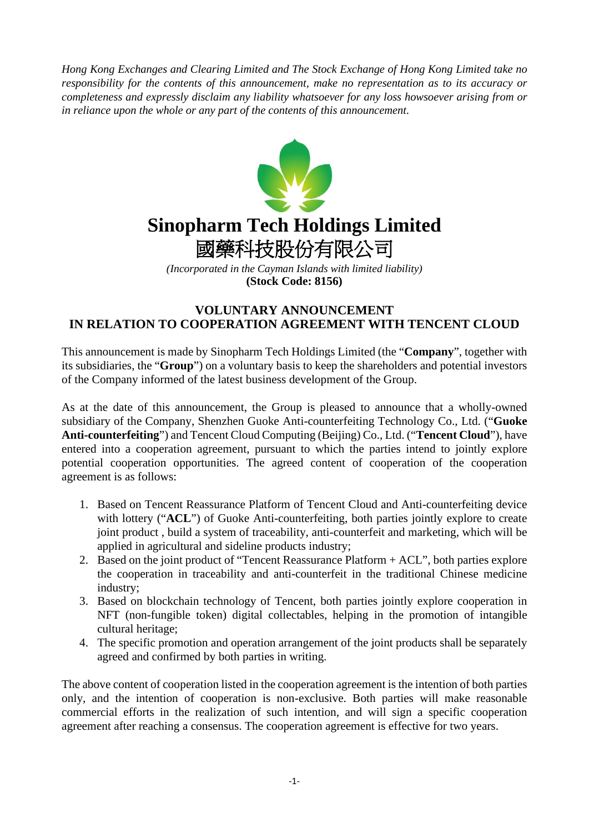*Hong Kong Exchanges and Clearing Limited and The Stock Exchange of Hong Kong Limited take no responsibility for the contents of this announcement, make no representation as to its accuracy or completeness and expressly disclaim any liability whatsoever for any loss howsoever arising from or in reliance upon the whole or any part of the contents of this announcement.*



*(Incorporated in the Cayman Islands with limited liability)* **(Stock Code: 8156)**

## **VOLUNTARY ANNOUNCEMENT IN RELATION TO COOPERATION AGREEMENT WITH TENCENT CLOUD**

This announcement is made by Sinopharm Tech Holdings Limited (the "**Company**", together with its subsidiaries, the "**Group**") on a voluntary basis to keep the shareholders and potential investors of the Company informed of the latest business development of the Group.

As at the date of this announcement, the Group is pleased to announce that a wholly-owned subsidiary of the Company, Shenzhen Guoke Anti-counterfeiting Technology Co., Ltd. ("**Guoke Anti-counterfeiting**") and Tencent Cloud Computing (Beijing) Co., Ltd. ("**Tencent Cloud**"), have entered into a cooperation agreement, pursuant to which the parties intend to jointly explore potential cooperation opportunities. The agreed content of cooperation of the cooperation agreement is as follows:

- 1. Based on Tencent Reassurance Platform of Tencent Cloud and Anti-counterfeiting device with lottery ("ACL") of Guoke Anti-counterfeiting, both parties jointly explore to create joint product , build a system of traceability, anti-counterfeit and marketing, which will be applied in agricultural and sideline products industry;
- 2. Based on the joint product of "Tencent Reassurance Platform + ACL", both parties explore the cooperation in traceability and anti-counterfeit in the traditional Chinese medicine industry;
- 3. Based on blockchain technology of Tencent, both parties jointly explore cooperation in NFT (non-fungible token) digital collectables, helping in the promotion of intangible cultural heritage;
- 4. The specific promotion and operation arrangement of the joint products shall be separately agreed and confirmed by both parties in writing.

The above content of cooperation listed in the cooperation agreement is the intention of both parties only, and the intention of cooperation is non-exclusive. Both parties will make reasonable commercial efforts in the realization of such intention, and will sign a specific cooperation agreement after reaching a consensus. The cooperation agreement is effective for two years.